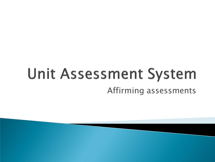### **Unit Assessment System** Affirming assessments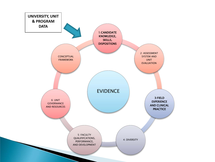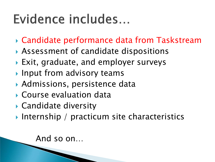### Evidence includes...

- Candidate performance data from Taskstream
- Assessment of candidate dispositions
- Exit, graduate, and employer surveys
- **Input from advisory teams**
- Admissions, persistence data
- Course evaluation data
- ▶ Candidate diversity
- Internship / practicum site characteristics

And so on…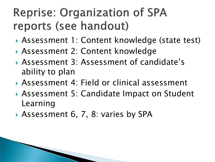#### **Reprise: Organization of SPA** reports (see handout)

- Assessment 1: Content knowledge (state test)
- Assessment 2: Content knowledge
- Assessment 3: Assessment of candidate's ability to plan
- Assessment 4: Field or clinical assessment
- ▶ Assessment 5: Candidate Impact on Student Learning
- Assessment 6, 7, 8: varies by SPA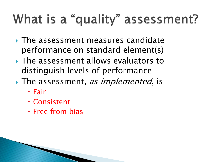# What is a "quality" assessment?

- The assessment measures candidate performance on standard element(s)
- **▶ The assessment allows evaluators to** distinguish levels of performance
- $\rightarrow$  The assessment, *as implemented*, is
	- Fair
	- Consistent
	- Free from bias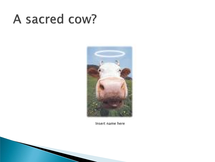#### A sacred cow?



Insert name here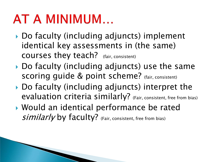#### AT A MINIMUM...

- ▶ Do faculty (including adjuncts) implement identical key assessments in (the same) courses they teach? (fair, consistent)
- ▶ Do faculty (including adjuncts) use the same scoring quide & point scheme? (fair, consistent)
- ▶ Do faculty (including adjuncts) interpret the evaluation criteria similarly? (Fair, consistent, free from bias)
- Would an identical performance be rated *similarly* by faculty? (Fair, consistent, free from bias)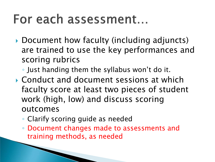#### For each assessment...

- ▶ Document how faculty (including adjuncts) are trained to use the key performances and scoring rubrics
	- Just handing them the syllabus won't do it.
- Conduct and document sessions at which faculty score at least two pieces of student work (high, low) and discuss scoring outcomes
	- Clarify scoring guide as needed
	- Document changes made to assessments and training methods, as needed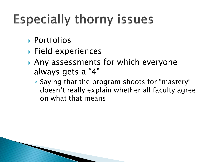# **Especially thorny issues**

- Portfolios
- ▶ Field experiences
- Any assessments for which everyone always gets a "4"
	- Saying that the program shoots for "mastery" doesn't really explain whether all faculty agree on what that means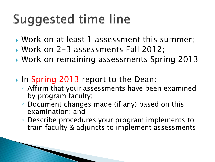# **Suggested time line**

- Work on at least 1 assessment this summer;
- Work on 2-3 assessments Fall 2012;
- Work on remaining assessments Spring 2013
- In Spring 2013 report to the Dean:
	- Affirm that your assessments have been examined by program faculty;
	- Document changes made (if any) based on this examination; and
	- Describe procedures your program implements to train faculty & adjuncts to implement assessments